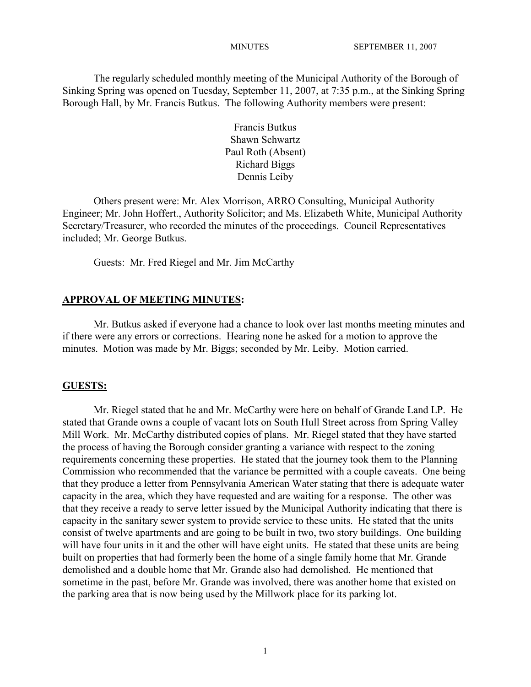The regularly scheduled monthly meeting of the Municipal Authority of the Borough of Sinking Spring was opened on Tuesday, September 11, 2007, at 7:35 p.m., at the Sinking Spring Borough Hall, by Mr. Francis Butkus. The following Authority members were present:

> Francis Butkus Shawn Schwartz Paul Roth (Absent) Richard Biggs Dennis Leiby

Others present were: Mr. Alex Morrison, ARRO Consulting, Municipal Authority Engineer; Mr. John Hoffert., Authority Solicitor; and Ms. Elizabeth White, Municipal Authority Secretary/Treasurer, who recorded the minutes of the proceedings. Council Representatives included; Mr. George Butkus.

Guests: Mr. Fred Riegel and Mr. Jim McCarthy

## **APPROVAL OF MEETING MINUTES:**

Mr. Butkus asked if everyone had a chance to look over last months meeting minutes and if there were any errors or corrections. Hearing none he asked for a motion to approve the minutes. Motion was made by Mr. Biggs; seconded by Mr. Leiby. Motion carried.

## **GUESTS:**

Mr. Riegel stated that he and Mr. McCarthy were here on behalf of Grande Land LP. He stated that Grande owns a couple of vacant lots on South Hull Street across from Spring Valley Mill Work. Mr. McCarthy distributed copies of plans. Mr. Riegel stated that they have started the process of having the Borough consider granting a variance with respect to the zoning requirements concerning these properties. He stated that the journey took them to the Planning Commission who recommended that the variance be permitted with a couple caveats. One being that they produce a letter from Pennsylvania American Water stating that there is adequate water capacity in the area, which they have requested and are waiting for a response. The other was that they receive a ready to serve letter issued by the Municipal Authority indicating that there is capacity in the sanitary sewer system to provide service to these units. He stated that the units consist of twelve apartments and are going to be built in two, two story buildings. One building will have four units in it and the other will have eight units. He stated that these units are being built on properties that had formerly been the home of a single family home that Mr. Grande demolished and a double home that Mr. Grande also had demolished. He mentioned that sometime in the past, before Mr. Grande was involved, there was another home that existed on the parking area that is now being used by the Millwork place for its parking lot.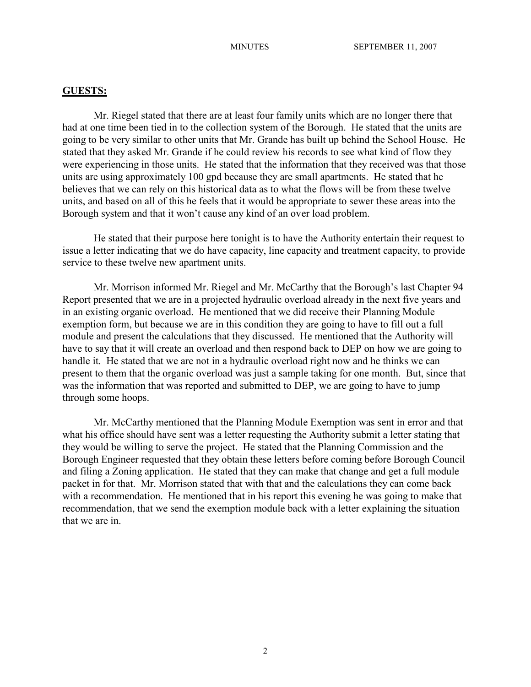## **GUESTS:**

Mr. Riegel stated that there are at least four family units which are no longer there that had at one time been tied in to the collection system of the Borough. He stated that the units are going to be very similar to other units that Mr. Grande has built up behind the School House. He stated that they asked Mr. Grande if he could review his records to see what kind of flow they were experiencing in those units. He stated that the information that they received was that those units are using approximately 100 gpd because they are small apartments. He stated that he believes that we can rely on this historical data as to what the flows will be from these twelve units, and based on all of this he feels that it would be appropriate to sewer these areas into the Borough system and that it won't cause any kind of an over load problem.

He stated that their purpose here tonight is to have the Authority entertain their request to issue a letter indicating that we do have capacity, line capacity and treatment capacity, to provide service to these twelve new apartment units.

Mr. Morrison informed Mr. Riegel and Mr. McCarthy that the Borough's last Chapter 94 Report presented that we are in a projected hydraulic overload already in the next five years and in an existing organic overload. He mentioned that we did receive their Planning Module exemption form, but because we are in this condition they are going to have to fill out a full module and present the calculations that they discussed. He mentioned that the Authority will have to say that it will create an overload and then respond back to DEP on how we are going to handle it. He stated that we are not in a hydraulic overload right now and he thinks we can present to them that the organic overload was just a sample taking for one month. But, since that was the information that was reported and submitted to DEP, we are going to have to jump through some hoops.

Mr. McCarthy mentioned that the Planning Module Exemption was sent in error and that what his office should have sent was a letter requesting the Authority submit a letter stating that they would be willing to serve the project. He stated that the Planning Commission and the Borough Engineer requested that they obtain these letters before coming before Borough Council and filing a Zoning application. He stated that they can make that change and get a full module packet in for that. Mr. Morrison stated that with that and the calculations they can come back with a recommendation. He mentioned that in his report this evening he was going to make that recommendation, that we send the exemption module back with a letter explaining the situation that we are in.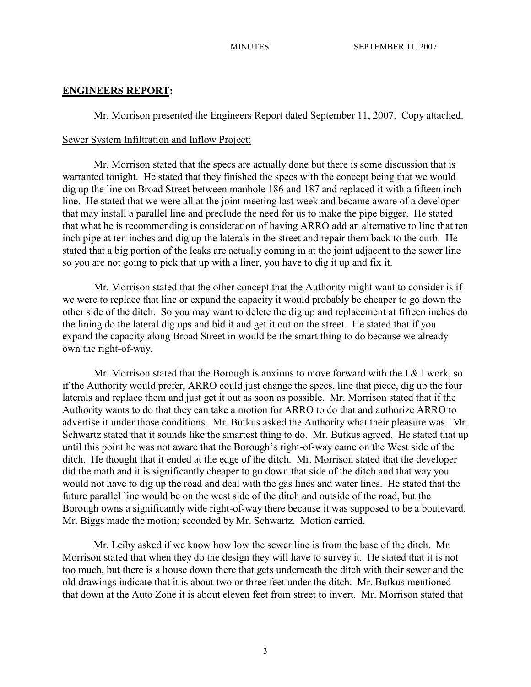## **ENGINEERS REPORT:**

Mr. Morrison presented the Engineers Report dated September 11, 2007. Copy attached.

#### Sewer System Infiltration and Inflow Project:

Mr. Morrison stated that the specs are actually done but there is some discussion that is warranted tonight. He stated that they finished the specs with the concept being that we would dig up the line on Broad Street between manhole 186 and 187 and replaced it with a fifteen inch line. He stated that we were all at the joint meeting last week and became aware of a developer that may install a parallel line and preclude the need for us to make the pipe bigger. He stated that what he is recommending is consideration of having ARRO add an alternative to line that ten inch pipe at ten inches and dig up the laterals in the street and repair them back to the curb. He stated that a big portion of the leaks are actually coming in at the joint adjacent to the sewer line so you are not going to pick that up with a liner, you have to dig it up and fix it.

Mr. Morrison stated that the other concept that the Authority might want to consider is if we were to replace that line or expand the capacity it would probably be cheaper to go down the other side of the ditch. So you may want to delete the dig up and replacement at fifteen inches do the lining do the lateral dig ups and bid it and get it out on the street. He stated that if you expand the capacity along Broad Street in would be the smart thing to do because we already own the right-of-way.

Mr. Morrison stated that the Borough is anxious to move forward with the I  $&$  I work, so if the Authority would prefer, ARRO could just change the specs, line that piece, dig up the four laterals and replace them and just get it out as soon as possible. Mr. Morrison stated that if the Authority wants to do that they can take a motion for ARRO to do that and authorize ARRO to advertise it under those conditions. Mr. Butkus asked the Authority what their pleasure was. Mr. Schwartz stated that it sounds like the smartest thing to do. Mr. Butkus agreed. He stated that up until this point he was not aware that the Borough's right-of-way came on the West side of the ditch. He thought that it ended at the edge of the ditch. Mr. Morrison stated that the developer did the math and it is significantly cheaper to go down that side of the ditch and that way you would not have to dig up the road and deal with the gas lines and water lines. He stated that the future parallel line would be on the west side of the ditch and outside of the road, but the Borough owns a significantly wide right-of-way there because it was supposed to be a boulevard. Mr. Biggs made the motion; seconded by Mr. Schwartz. Motion carried.

Mr. Leiby asked if we know how low the sewer line is from the base of the ditch. Mr. Morrison stated that when they do the design they will have to survey it. He stated that it is not too much, but there is a house down there that gets underneath the ditch with their sewer and the old drawings indicate that it is about two or three feet under the ditch. Mr. Butkus mentioned that down at the Auto Zone it is about eleven feet from street to invert. Mr. Morrison stated that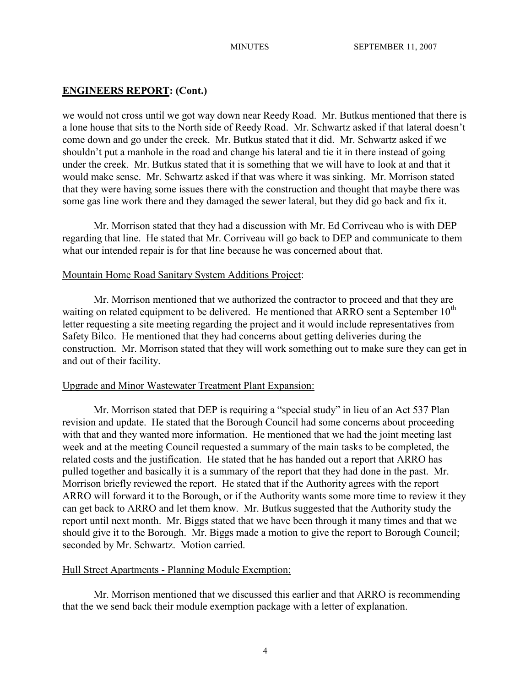# **ENGINEERS REPORT: (Cont.)**

we would not cross until we got way down near Reedy Road. Mr. Butkus mentioned that there is a lone house that sits to the North side of Reedy Road. Mr. Schwartz asked if that lateral doesn't come down and go under the creek. Mr. Butkus stated that it did. Mr. Schwartz asked if we shouldn't put a manhole in the road and change his lateral and tie it in there instead of going under the creek. Mr. Butkus stated that it is something that we will have to look at and that it would make sense. Mr. Schwartz asked if that was where it was sinking. Mr. Morrison stated that they were having some issues there with the construction and thought that maybe there was some gas line work there and they damaged the sewer lateral, but they did go back and fix it.

Mr. Morrison stated that they had a discussion with Mr. Ed Corriveau who is with DEP regarding that line. He stated that Mr. Corriveau will go back to DEP and communicate to them what our intended repair is for that line because he was concerned about that.

### Mountain Home Road Sanitary System Additions Project:

Mr. Morrison mentioned that we authorized the contractor to proceed and that they are waiting on related equipment to be delivered. He mentioned that ARRO sent a September  $10^{th}$ letter requesting a site meeting regarding the project and it would include representatives from Safety Bilco. He mentioned that they had concerns about getting deliveries during the construction. Mr. Morrison stated that they will work something out to make sure they can get in and out of their facility.

## Upgrade and Minor Wastewater Treatment Plant Expansion:

Mr. Morrison stated that DEP is requiring a "special study" in lieu of an Act 537 Plan revision and update. He stated that the Borough Council had some concerns about proceeding with that and they wanted more information. He mentioned that we had the joint meeting last week and at the meeting Council requested a summary of the main tasks to be completed, the related costs and the justification. He stated that he has handed out a report that ARRO has pulled together and basically it is a summary of the report that they had done in the past. Mr. Morrison briefly reviewed the report. He stated that if the Authority agrees with the report ARRO will forward it to the Borough, or if the Authority wants some more time to review it they can get back to ARRO and let them know. Mr. Butkus suggested that the Authority study the report until next month. Mr. Biggs stated that we have been through it many times and that we should give it to the Borough. Mr. Biggs made a motion to give the report to Borough Council; seconded by Mr. Schwartz. Motion carried.

# Hull Street Apartments - Planning Module Exemption:

Mr. Morrison mentioned that we discussed this earlier and that ARRO is recommending that the we send back their module exemption package with a letter of explanation.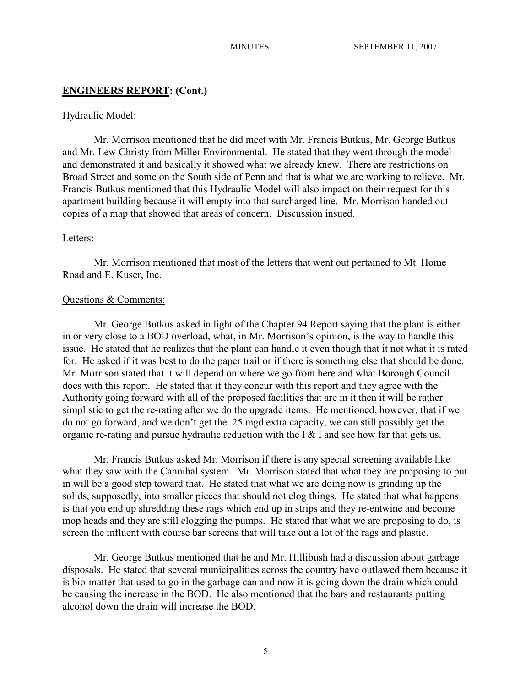## **ENGINEERS REPORT: (Cont.)**

#### Hydraulic Model:

Mr. Morrison mentioned that he did meet with Mr. Francis Butkus, Mr. George Butkus and Mr. Lew Christy from Miller Environmental. He stated that they went through the model and demonstrated it and basically it showed what we already knew. There are restrictions on Broad Street and some on the South side of Penn and that is what we are working to relieve. Mr. Francis Butkus mentioned that this Hydraulic Model will also impact on their request for this apartment building because it will empty into that surcharged line. Mr. Morrison handed out copies of a map that showed that areas of concern. Discussion insued.

## Letters:

Mr. Morrison mentioned that most of the letters that went out pertained to Mt. Home Road and E. Kuser, Inc.

### Questions & Comments:

Mr. George Butkus asked in light of the Chapter 94 Report saying that the plant is either in or very close to a BOD overload, what, in Mr. Morrison's opinion, is the way to handle this issue. He stated that he realizes that the plant can handle it even though that it not what it is rated for. He asked if it was best to do the paper trail or if there is something else that should be done. Mr. Morrison stated that it will depend on where we go from here and what Borough Council does with this report. He stated that if they concur with this report and they agree with the Authority going forward with all of the proposed facilities that are in it then it will be rather simplistic to get the re-rating after we do the upgrade items. He mentioned, however, that if we do not go forward, and we don't get the .25 mgd extra capacity, we can still possibly get the organic re-rating and pursue hydraulic reduction with the I  $&$  I and see how far that gets us.

Mr. Francis Butkus asked Mr. Morrison if there is any special screening available like what they saw with the Cannibal system. Mr. Morrison stated that what they are proposing to put in will be a good step toward that. He stated that what we are doing now is grinding up the solids, supposedly, into smaller pieces that should not clog things. He stated that what happens is that you end up shredding these rags which end up in strips and they re-entwine and become mop heads and they are still clogging the pumps. He stated that what we are proposing to do, is screen the influent with course bar screens that will take out a lot of the rags and plastic.

Mr. George Butkus mentioned that he and Mr. Hillibush had a discussion about garbage disposals. He stated that several municipalities across the country have outlawed them because it is bio-matter that used to go in the garbage can and now it is going down the drain which could be causing the increase in the BOD. He also mentioned that the bars and restaurants putting alcohol down the drain will increase the BOD.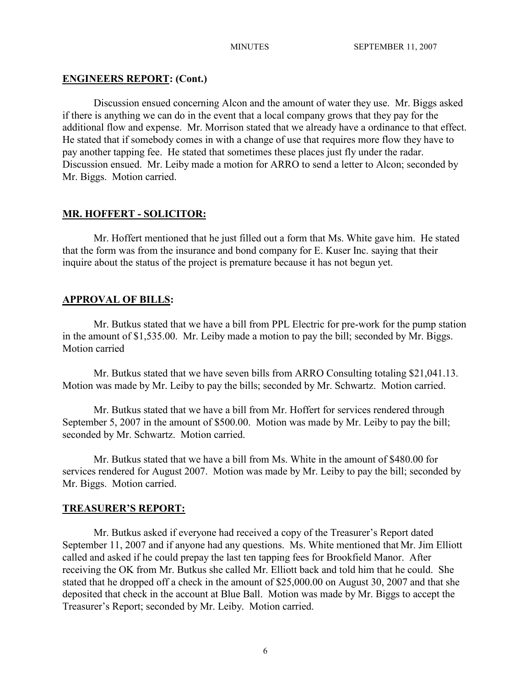# **ENGINEERS REPORT: (Cont.)**

Discussion ensued concerning Alcon and the amount of water they use. Mr. Biggs asked if there is anything we can do in the event that a local company grows that they pay for the additional flow and expense. Mr. Morrison stated that we already have a ordinance to that effect. He stated that if somebody comes in with a change of use that requires more flow they have to pay another tapping fee. He stated that sometimes these places just fly under the radar. Discussion ensued. Mr. Leiby made a motion for ARRO to send a letter to Alcon; seconded by Mr. Biggs. Motion carried.

# **MR. HOFFERT - SOLICITOR:**

Mr. Hoffert mentioned that he just filled out a form that Ms. White gave him. He stated that the form was from the insurance and bond company for E. Kuser Inc. saying that their inquire about the status of the project is premature because it has not begun yet.

# **APPROVAL OF BILLS:**

Mr. Butkus stated that we have a bill from PPL Electric for pre-work for the pump station in the amount of \$1,535.00. Mr. Leiby made a motion to pay the bill; seconded by Mr. Biggs. Motion carried

Mr. Butkus stated that we have seven bills from ARRO Consulting totaling \$21,041.13. Motion was made by Mr. Leiby to pay the bills; seconded by Mr. Schwartz. Motion carried.

Mr. Butkus stated that we have a bill from Mr. Hoffert for services rendered through September 5, 2007 in the amount of \$500.00. Motion was made by Mr. Leiby to pay the bill; seconded by Mr. Schwartz. Motion carried.

Mr. Butkus stated that we have a bill from Ms. White in the amount of \$480.00 for services rendered for August 2007. Motion was made by Mr. Leiby to pay the bill; seconded by Mr. Biggs. Motion carried.

# **TREASURER'S REPORT:**

Mr. Butkus asked if everyone had received a copy of the Treasurer's Report dated September 11, 2007 and if anyone had any questions. Ms. White mentioned that Mr. Jim Elliott called and asked if he could prepay the last ten tapping fees for Brookfield Manor. After receiving the OK from Mr. Butkus she called Mr. Elliott back and told him that he could. She stated that he dropped off a check in the amount of \$25,000.00 on August 30, 2007 and that she deposited that check in the account at Blue Ball. Motion was made by Mr. Biggs to accept the Treasurer's Report; seconded by Mr. Leiby. Motion carried.